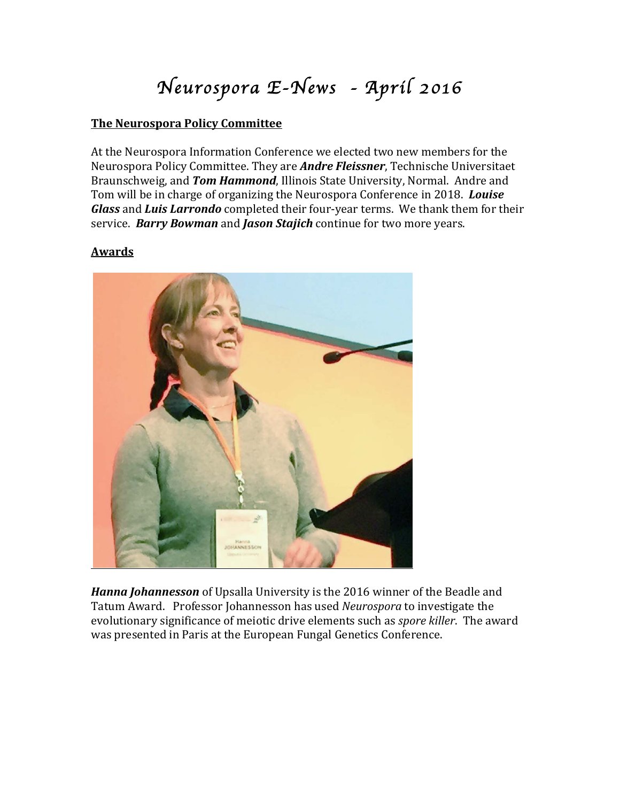# *Neurospora E-News - April 2016*

### **The Neurospora Policy Committee**

At the Neurospora Information Conference we elected two new members for the Neurospora Policy Committee. They are *Andre Fleissner*, Technische Universitaet Braunschweig, and *Tom Hammond*, Illinois State University, Normal. Andre and Tom will be in charge of organizing the Neurospora Conference in 2018. *Louise* **Glass** and *Luis Larrondo* completed their four-year terms. We thank them for their service. *Barry Bowman* and *Jason Stajich* continue for two more years.

### **Awards**



**Hanna Johannesson** of Upsalla University is the 2016 winner of the Beadle and Tatum Award. Professor Johannesson has used *Neurospora* to investigate the evolutionary significance of meiotic drive elements such as *spore killer*. The award was presented in Paris at the European Fungal Genetics Conference.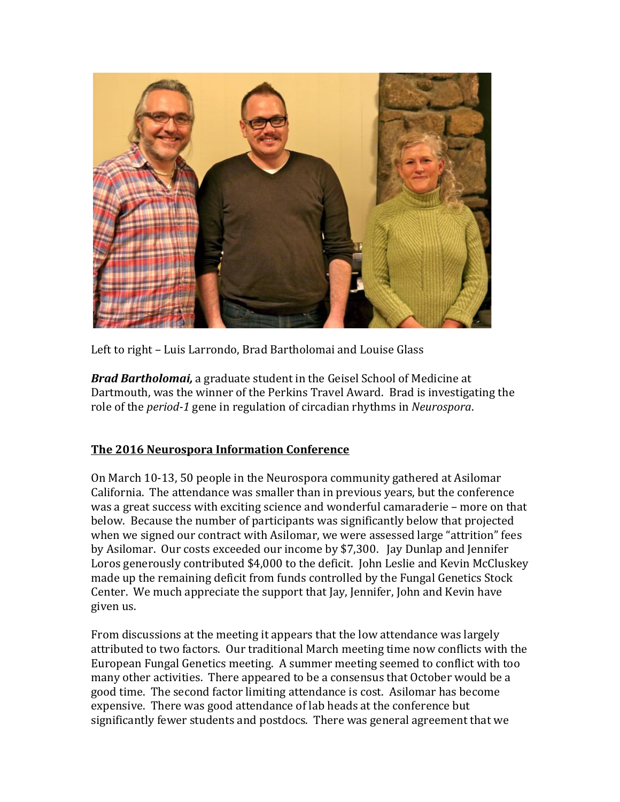

Left to right – Luis Larrondo, Brad Bartholomai and Louise Glass

**Brad Bartholomai,** a graduate student in the Geisel School of Medicine at Dartmouth, was the winner of the Perkins Travel Award. Brad is investigating the role of the *period-1* gene in regulation of circadian rhythms in *Neurospora*.

## **The 2016 Neurospora Information Conference**

On March 10-13, 50 people in the Neurospora community gathered at Asilomar California. The attendance was smaller than in previous years, but the conference was a great success with exciting science and wonderful camaraderie – more on that below. Because the number of participants was significantly below that projected when we signed our contract with Asilomar, we were assessed large "attrition" fees by Asilomar. Our costs exceeded our income by \$7,300. Jay Dunlap and Jennifer Loros generously contributed \$4,000 to the deficit. John Leslie and Kevin McCluskey made up the remaining deficit from funds controlled by the Fungal Genetics Stock Center. We much appreciate the support that Jay, Jennifer, John and Kevin have given us.

From discussions at the meeting it appears that the low attendance was largely attributed to two factors. Our traditional March meeting time now conflicts with the European Fungal Genetics meeting. A summer meeting seemed to conflict with too many other activities. There appeared to be a consensus that October would be a good time. The second factor limiting attendance is cost. Asilomar has become expensive. There was good attendance of lab heads at the conference but significantly fewer students and postdocs. There was general agreement that we